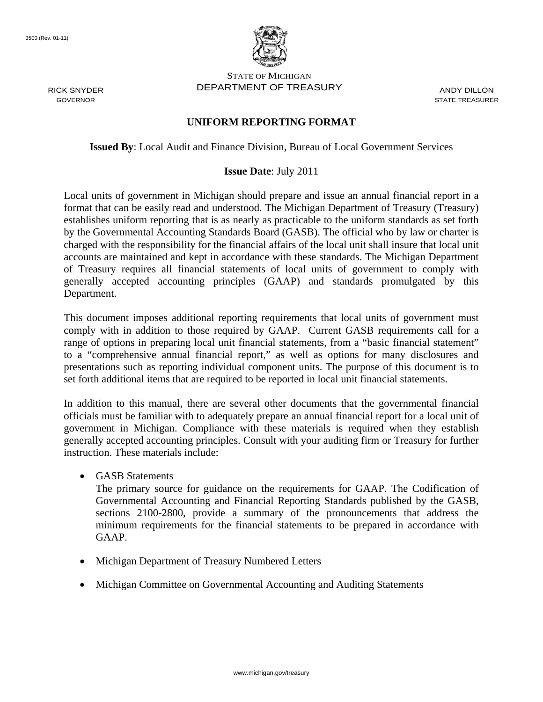RICK SNYDER GOVERNOR



STATE OF MICHIGAN DEPARTMENT OF TREASURY ANDY DILLON

STATE TREASURER

## **UNIFORM REPORTING FORMAT**

**Issued By**: Local Audit and Finance Division, Bureau of Local Government Services

#### **Issue Date**: July 2011

Local units of government in Michigan should prepare and issue an annual financial report in a format that can be easily read and understood. The Michigan Department of Treasury (Treasury) establishes uniform reporting that is as nearly as practicable to the uniform standards as set forth by the Governmental Accounting Standards Board (GASB). The official who by law or charter is charged with the responsibility for the financial affairs of the local unit shall insure that local unit accounts are maintained and kept in accordance with these standards. The Michigan Department of Treasury requires all financial statements of local units of government to comply with generally accepted accounting principles (GAAP) and standards promulgated by this Department.

This document imposes additional reporting requirements that local units of government must comply with in addition to those required by GAAP. Current GASB requirements call for a range of options in preparing local unit financial statements, from a "basic financial statement" to a "comprehensive annual financial report," as well as options for many disclosures and presentations such as reporting individual component units. The purpose of this document is to set forth additional items that are required to be reported in local unit financial statements.

In addition to this manual, there are several other documents that the governmental financial officials must be familiar with to adequately prepare an annual financial report for a local unit of government in Michigan. Compliance with these materials is required when they establish generally accepted accounting principles. Consult with your auditing firm or Treasury for further instruction. These materials include:

GASB Statements

The primary source for guidance on the requirements for GAAP. The Codification of Governmental Accounting and Financial Reporting Standards published by the GASB, sections 2100-2800, provide a summary of the pronouncements that address the minimum requirements for the financial statements to be prepared in accordance with GAAP.

- Michigan Department of Treasury Numbered Letters
- Michigan Committee on Governmental Accounting and Auditing Statements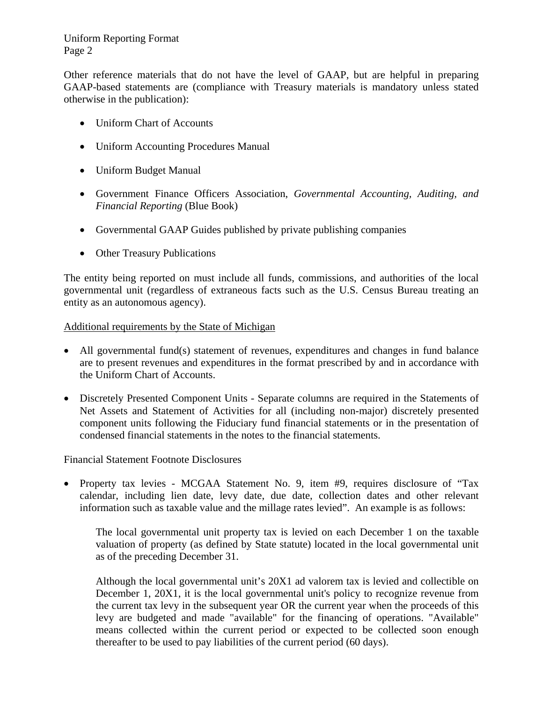## Uniform Reporting Format Page 2

Other reference materials that do not have the level of GAAP, but are helpful in preparing GAAP-based statements are (compliance with Treasury materials is mandatory unless stated otherwise in the publication):

- Uniform Chart of Accounts
- Uniform Accounting Procedures Manual
- Uniform Budget Manual
- Government Finance Officers Association, *Governmental Accounting, Auditing, and Financial Reporting* (Blue Book)
- Governmental GAAP Guides published by private publishing companies
- Other Treasury Publications

The entity being reported on must include all funds, commissions, and authorities of the local governmental unit (regardless of extraneous facts such as the U.S. Census Bureau treating an entity as an autonomous agency).

#### Additional requirements by the State of Michigan

- All governmental fund(s) statement of revenues, expenditures and changes in fund balance are to present revenues and expenditures in the format prescribed by and in accordance with the Uniform Chart of Accounts.
- Discretely Presented Component Units Separate columns are required in the Statements of Net Assets and Statement of Activities for all (including non-major) discretely presented component units following the Fiduciary fund financial statements or in the presentation of condensed financial statements in the notes to the financial statements.

#### Financial Statement Footnote Disclosures

• Property tax levies - MCGAA Statement No. 9, item #9, requires disclosure of "Tax calendar, including lien date, levy date, due date, collection dates and other relevant information such as taxable value and the millage rates levied". An example is as follows:

The local governmental unit property tax is levied on each December 1 on the taxable valuation of property (as defined by State statute) located in the local governmental unit as of the preceding December 31.

Although the local governmental unit's 20X1 ad valorem tax is levied and collectible on December 1, 20X1, it is the local governmental unit's policy to recognize revenue from the current tax levy in the subsequent year OR the current year when the proceeds of this levy are budgeted and made "available" for the financing of operations. "Available" means collected within the current period or expected to be collected soon enough thereafter to be used to pay liabilities of the current period (60 days).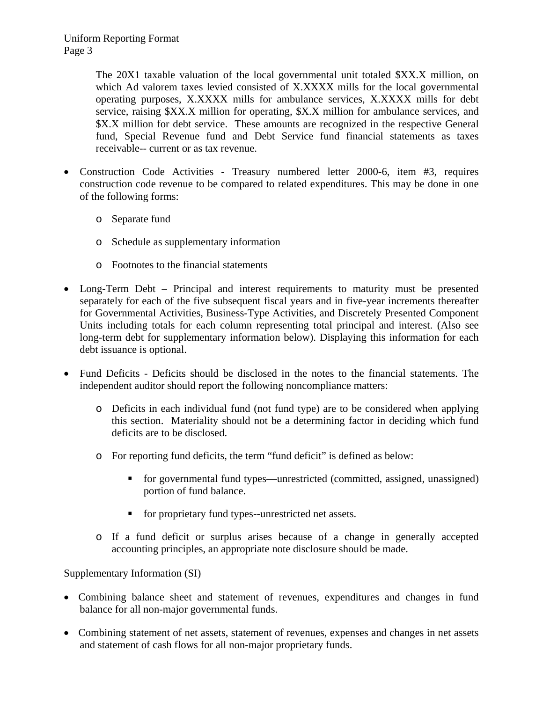The 20X1 taxable valuation of the local governmental unit totaled \$XX.X million, on which Ad valorem taxes levied consisted of X.XXXX mills for the local governmental operating purposes, X.XXXX mills for ambulance services, X.XXXX mills for debt service, raising \$XX.X million for operating, \$X.X million for ambulance services, and \$X.X million for debt service. These amounts are recognized in the respective General fund, Special Revenue fund and Debt Service fund financial statements as taxes receivable-- current or as tax revenue.

- Construction Code Activities Treasury numbered letter 2000-6, item #3, requires construction code revenue to be compared to related expenditures. This may be done in one of the following forms:
	- o Separate fund
	- o Schedule as supplementary information
	- o Footnotes to the financial statements
- Long-Term Debt Principal and interest requirements to maturity must be presented separately for each of the five subsequent fiscal years and in five-year increments thereafter for Governmental Activities, Business-Type Activities, and Discretely Presented Component Units including totals for each column representing total principal and interest. (Also see long-term debt for supplementary information below). Displaying this information for each debt issuance is optional.
- Fund Deficits Deficits should be disclosed in the notes to the financial statements. The independent auditor should report the following noncompliance matters:
	- o Deficits in each individual fund (not fund type) are to be considered when applying this section. Materiality should not be a determining factor in deciding which fund deficits are to be disclosed.
	- o For reporting fund deficits, the term "fund deficit" is defined as below:
		- for governmental fund types—unrestricted (committed, assigned, unassigned) portion of fund balance.
		- **for proprietary fund types--unrestricted net assets.**
	- o If a fund deficit or surplus arises because of a change in generally accepted accounting principles, an appropriate note disclosure should be made.

Supplementary Information (SI)

- Combining balance sheet and statement of revenues, expenditures and changes in fund balance for all non-major governmental funds.
- Combining statement of net assets, statement of revenues, expenses and changes in net assets and statement of cash flows for all non-major proprietary funds.